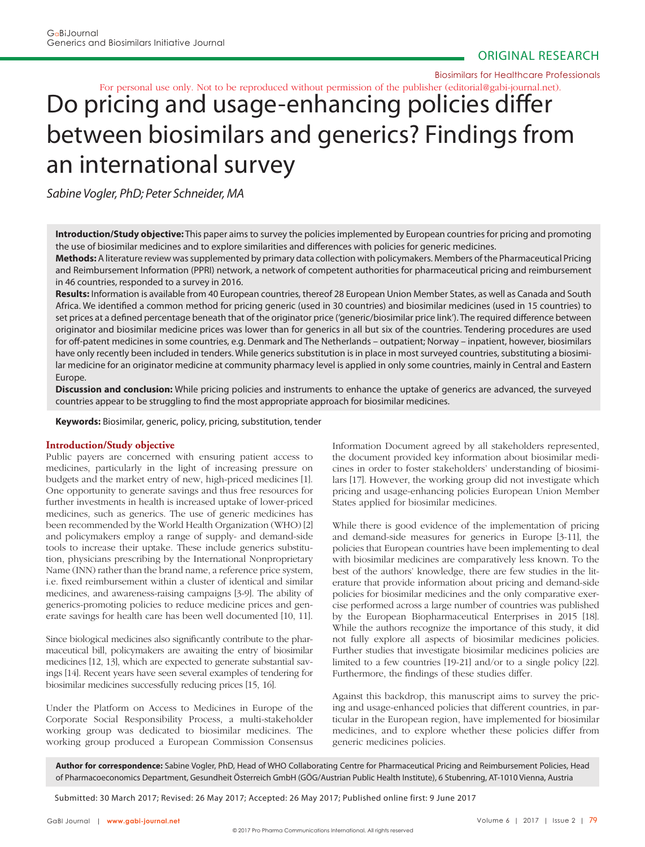Biosimilars for Healthcare Professionals

For personal use only. Not to be reproduced without permission of the publisher (editorial@gabi-journal.net).

# Do pricing and usage-enhancing policies differ between biosimilars and generics? Findings from an international survey

Sabine Vogler, PhD; Peter Schneider, MA

**Introduction/Study objective:** This paper aims to survey the policies implemented by European countries for pricing and promoting the use of biosimilar medicines and to explore similarities and differences with policies for generic medicines.

**Methods:** A literature review was supplemented by primary data collection with policymakers. Members of the Pharmaceutical Pricing and Reimbursement Information (PPRI) network, a network of competent authorities for pharmaceutical pricing and reimbursement in 46 countries, responded to a survey in 2016.

**Results:** Information is available from 40 European countries, thereof 28 European Union Member States, as well as Canada and South Africa. We identified a common method for pricing generic (used in 30 countries) and biosimilar medicines (used in 15 countries) to set prices at a defined percentage beneath that of the originator price ('generic/biosimilar price link'). The required difference between originator and biosimilar medicine prices was lower than for generics in all but six of the countries. Tendering procedures are used for off-patent medicines in some countries, e.g. Denmark and The Netherlands – outpatient; Norway – inpatient, however, biosimilars have only recently been included in tenders. While generics substitution is in place in most surveyed countries, substituting a biosimilar medicine for an originator medicine at community pharmacy level is applied in only some countries, mainly in Central and Eastern Europe.

**Discussion and conclusion:** While pricing policies and instruments to enhance the uptake of generics are advanced, the surveyed countries appear to be struggling to find the most appropriate approach for biosimilar medicines.

**Keywords:** Biosimilar, generic, policy, pricing, substitution, tender

# **Introduction/Study objective**

Public payers are concerned with ensuring patient access to medicines, particularly in the light of increasing pressure on budgets and the market entry of new, high-priced medicines [1]. One opportunity to generate savings and thus free resources for further investments in health is increased uptake of lower-priced medicines, such as generics. The use of generic medicines has been recommended by the World Health Organization (WHO) [2] and policymakers employ a range of supply- and demand-side tools to increase their uptake. These include generics substitution, physicians prescribing by the International Nonproprietary Name (INN) rather than the brand name, a reference price system, i.e. fixed reimbursement within a cluster of identical and similar medicines, and awareness-raising campaigns [3-9]. The ability of generics-promoting policies to reduce medicine prices and generate savings for health care has been well documented [10, 11].

Since biological medicines also significantly contribute to the pharmaceutical bill, policymakers are awaiting the entry of biosimilar medicines [12, 13], which are expected to generate substantial savings [14]. Recent years have seen several examples of tendering for biosimilar medicines successfully reducing prices [15, 16].

Under the Platform on Access to Medicines in Europe of the Corporate Social Responsibility Process, a multi-stakeholder working group was dedicated to biosimilar medicines. The working group produced a European Commission Consensus Information Document agreed by all stakeholders represented, the document provided key information about biosimilar medicines in order to foster stakeholders' understanding of biosimilars [17]. However, the working group did not investigate which pricing and usage-enhancing policies European Union Member States applied for biosimilar medicines.

While there is good evidence of the implementation of pricing and demand-side measures for generics in Europe [3-11], the policies that European countries have been implementing to deal with biosimilar medicines are comparatively less known. To the best of the authors' knowledge, there are few studies in the literature that provide information about pricing and demand-side policies for biosimilar medicines and the only comparative exercise performed across a large number of countries was published by the European Biopharmaceutical Enterprises in 2015 [18]. While the authors recognize the importance of this study, it did not fully explore all aspects of biosimilar medicines policies. Further studies that investigate biosimilar medicines policies are limited to a few countries [19-21] and/or to a single policy [22]. Furthermore, the findings of these studies differ.

Against this backdrop, this manuscript aims to survey the pricing and usage-enhanced policies that different countries, in particular in the European region, have implemented for biosimilar medicines, and to explore whether these policies differ from generic medicines policies.

**Author for correspondence:** Sabine Vogler, PhD, Head of WHO Collaborating Centre for Pharmaceutical Pricing and Reimbursement Policies, Head of Pharmacoeconomics Department, Gesundheit Österreich GmbH (GÖG/Austrian Public Health Institute), 6 Stubenring, AT-1010 Vienna, Austria

Submitted: 30 March 2017; Revised: 26 May 2017; Accepted: 26 May 2017; Published online first: 9 June 2017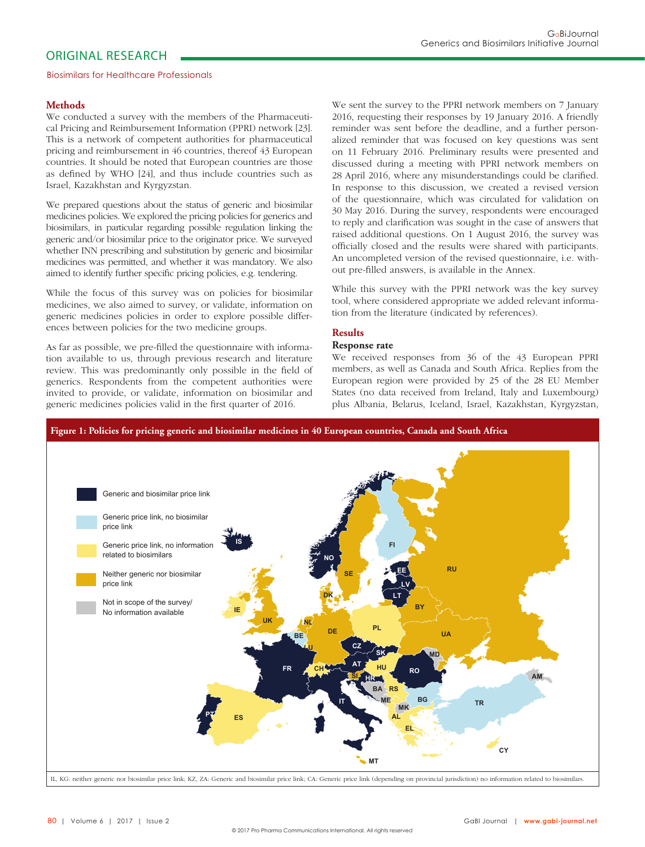# **Methods**

We conducted a survey with the members of the Pharmaceutical Pricing and Reimbursement Information (PPRI) network [23]. This is a network of competent authorities for pharmaceutical pricing and reimbursement in 46 countries, thereof 43 European countries. It should be noted that European countries are those as defined by WHO [24], and thus include countries such as Israel, Kazakhstan and Kyrgyzstan.

We prepared questions about the status of generic and biosimilar medicines policies. We explored the pricing policies for generics and biosimilars, in particular regarding possible regulation linking the generic and/or biosimilar price to the originator price. We surveyed whether INN prescribing and substitution by generic and biosimilar medicines was permitted, and whether it was mandatory. We also aimed to identify further specific pricing policies, e.g. tendering.

While the focus of this survey was on policies for biosimilar medicines, we also aimed to survey, or validate, information on generic medicines policies in order to explore possible differences between policies for the two medicine groups.

As far as possible, we pre-filled the questionnaire with information available to us, through previous research and literature review. This was predominantly only possible in the field of generics. Respondents from the competent authorities were invited to provide, or validate, information on biosimilar and generic medicines policies valid in the first quarter of 2016.

We sent the survey to the PPRI network members on 7 January 2016, requesting their responses by 19 January 2016. A friendly reminder was sent before the deadline, and a further personalized reminder that was focused on key questions was sent on 11 February 2016. Preliminary results were presented and discussed during a meeting with PPRI network members on 28 April 2016, where any misunderstandings could be clarified. In response to this discussion, we created a revised version of the questionnaire, which was circulated for validation on

30 May 2016. During the survey, respondents were encouraged to reply and clarification was sought in the case of answers that raised additional questions. On 1 August 2016, the survey was officially closed and the results were shared with participants. An uncompleted version of the revised questionnaire, i.e. without pre-filled answers, is available in the Annex.

While this survey with the PPRI network was the key survey tool, where considered appropriate we added relevant information from the literature (indicated by references).

# **Results**

## **Response rate**

We received responses from 36 of the 43 European PPRI members, as well as Canada and South Africa. Replies from the European region were provided by 25 of the 28 EU Member States (no data received from Ireland, Italy and Luxembourg) plus Albania, Belarus, Iceland, Israel, Kazakhstan, Kyrgyzstan,

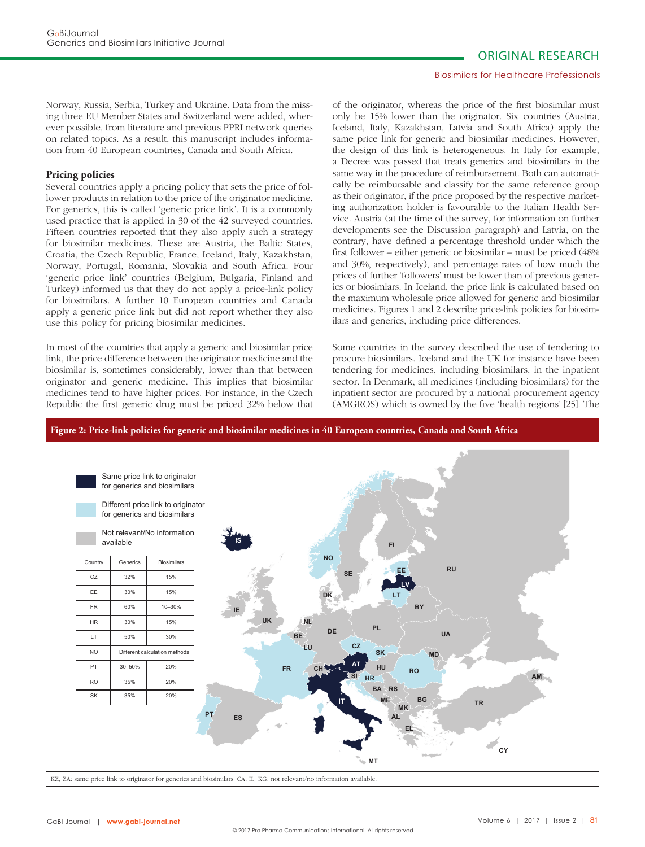#### Biosimilars for Healthcare Professionals

Norway, Russia, Serbia, Turkey and Ukraine. Data from the missing three EU Member States and Switzerland were added, wherever possible, from literature and previous PPRI network queries on related topics. As a result, this manuscript includes information from 40 European countries, Canada and South Africa.

# **Pricing policies**

Several countries apply a pricing policy that sets the price of follower products in relation to the price of the originator medicine. For generics, this is called 'generic price link'. It is a commonly used practice that is applied in 30 of the 42 surveyed countries. Fifteen countries reported that they also apply such a strategy for biosimilar medicines. These are Austria, the Baltic States, Croatia, the Czech Republic, France, Iceland, Italy, Kazakhstan, Norway, Portugal, Romania, Slovakia and South Africa. Four 'generic price link' countries (Belgium, Bulgaria, Finland and Turkey) informed us that they do not apply a price-link policy for biosimilars. A further 10 European countries and Canada apply a generic price link but did not report whether they also use this policy for pricing biosimilar medicines.

In most of the countries that apply a generic and biosimilar price link, the price difference between the originator medicine and the biosimilar is, sometimes considerably, lower than that between originator and generic medicine. This implies that biosimilar medicines tend to have higher prices. For instance, in the Czech Republic the first generic drug must be priced 32% below that

of the originator, whereas the price of the first biosimilar must only be 15% lower than the originator. Six countries (Austria, Iceland, Italy, Kazakhstan, Latvia and South Africa) apply the same price link for generic and biosimilar medicines. However, the design of this link is heterogeneous. In Italy for example, a Decree was passed that treats generics and biosimilars in the same way in the procedure of reimbursement. Both can automatically be reimbursable and classify for the same reference group as their originator, if the price proposed by the respective marketing authorization holder is favourable to the Italian Health Service. Austria (at the time of the survey, for information on further developments see the Discussion paragraph) and Latvia, on the contrary, have defined a percentage threshold under which the first follower – either generic or biosimilar – must be priced (48% and 30%, respectively), and percentage rates of how much the prices of further 'followers' must be lower than of previous generics or biosimlars. In Iceland, the price link is calculated based on the maximum wholesale price allowed for generic and biosimilar medicines. Figures 1 and 2 describe price-link policies for biosimilars and generics, including price differences.

Some countries in the survey described the use of tendering to procure biosimilars. Iceland and the UK for instance have been tendering for medicines, including biosimilars, in the inpatient sector. In Denmark, all medicines (including biosimilars) for the inpatient sector are procured by a national procurement agency (AMGROS) which is owned by the five 'health regions' [25]. The

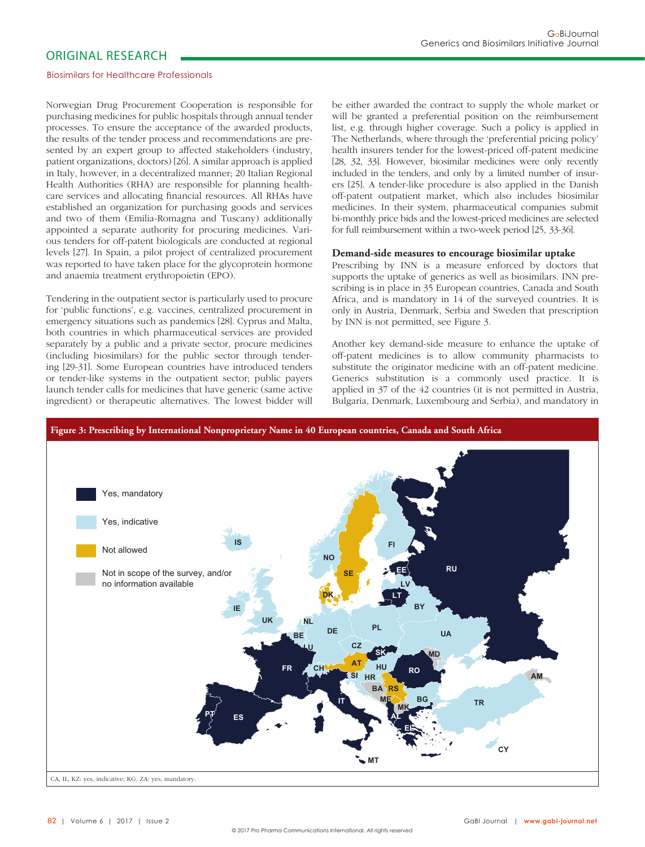#### Biosimilars for Healthcare Professionals

Norwegian Drug Procurement Cooperation is responsible for purchasing medicines for public hospitals through annual tender processes. To ensure the acceptance of the awarded products, the results of the tender process and recommendations are presented by an expert group to affected stakeholders (industry, patient organizations, doctors) [26]. A similar approach is applied in Italy, however, in a decentralized manner; 20 Italian Regional Health Authorities (RHA) are responsible for planning healthcare services and allocating financial resources. All RHAs have established an organization for purchasing goods and services and two of them (Emilia-Romagna and Tuscany) additionally appointed a separate authority for procuring medicines. Various tenders for off-patent biologicals are conducted at regional levels [27]. In Spain, a pilot project of centralized procurement was reported to have taken place for the glycoprotein hormone and anaemia treatment erythropoietin (EPO).

Tendering in the outpatient sector is particularly used to procure for 'public functions', e.g. vaccines, centralized procurement in emergency situations such as pandemics [28]. Cyprus and Malta, both countries in which pharmaceutical services are provided separately by a public and a private sector, procure medicines (including biosimilars) for the public sector through tendering [29-31]. Some European countries have introduced tenders or tender-like systems in the outpatient sector; public payers launch tender calls for medicines that have generic (same active ingredient) or therapeutic alternatives. The lowest bidder will be either awarded the contract to supply the whole market or will be granted a preferential position on the reimbursement list, e.g. through higher coverage. Such a policy is applied in The Netherlands, where through the 'preferential pricing policy' health insurers tender for the lowest-priced off-patent medicine [28, 32, 33]. However, biosimilar medicines were only recently included in the tenders, and only by a limited number of insurers [25]. A tender-like procedure is also applied in the Danish off-patent outpatient market, which also includes biosimilar medicines. In their system, pharmaceutical companies submit bi-monthly price bids and the lowest-priced medicines are selected for full reimbursement within a two-week period [25, 33-36].

#### **Demand-side measures to encourage biosimilar uptake**

Prescribing by INN is a measure enforced by doctors that supports the uptake of generics as well as biosimilars. INN prescribing is in place in 35 European countries, Canada and South Africa, and is mandatory in 14 of the surveyed countries. It is only in Austria, Denmark, Serbia and Sweden that prescription by INN is not permitted, see Figure 3.

Another key demand-side measure to enhance the uptake of off-patent medicines is to allow community pharmacists to substitute the originator medicine with an off-patent medicine. Generics substitution is a commonly used practice. It is applied in 37 of the 42 countries (it is not permitted in Austria, Bulgaria, Denmark, Luxembourg and Serbia), and mandatory in

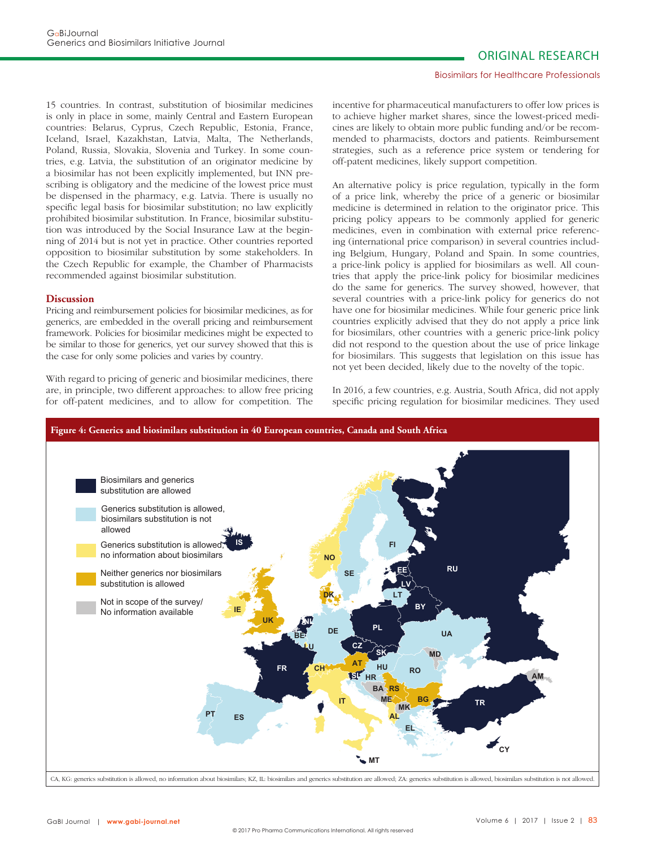#### Biosimilars for Healthcare Professionals

15 countries. In contrast, substitution of biosimilar medicines is only in place in some, mainly Central and Eastern European countries: Belarus, Cyprus, Czech Republic, Estonia, France, Iceland, Israel, Kazakhstan, Latvia, Malta, The Netherlands, Poland, Russia, Slovakia, Slovenia and Turkey. In some countries, e.g. Latvia, the substitution of an originator medicine by a biosimilar has not been explicitly implemented, but INN prescribing is obligatory and the medicine of the lowest price must be dispensed in the pharmacy, e.g. Latvia. There is usually no specific legal basis for biosimilar substitution; no law explicitly prohibited biosimilar substitution. In France, biosimilar substitution was introduced by the Social Insurance Law at the beginning of 2014 but is not yet in practice. Other countries reported opposition to biosimilar substitution by some stakeholders. In the Czech Republic for example, the Chamber of Pharmacists recommended against biosimilar substitution.

## **Discussion**

Pricing and reimbursement policies for biosimilar medicines, as for generics, are embedded in the overall pricing and reimbursement framework. Policies for biosimilar medicines might be expected to be similar to those for generics, yet our survey showed that this is the case for only some policies and varies by country.

With regard to pricing of generic and biosimilar medicines, there are, in principle, two different approaches: to allow free pricing for off-patent medicines, and to allow for competition. The incentive for pharmaceutical manufacturers to offer low prices is to achieve higher market shares, since the lowest-priced medicines are likely to obtain more public funding and/or be recommended to pharmacists, doctors and patients. Reimbursement strategies, such as a reference price system or tendering for off-patent medicines, likely support competition.

An alternative policy is price regulation, typically in the form of a price link, whereby the price of a generic or biosimilar medicine is determined in relation to the originator price. This pricing policy appears to be commonly applied for generic medicines, even in combination with external price referencing (international price comparison) in several countries including Belgium, Hungary, Poland and Spain. In some countries, a price-link policy is applied for biosimilars as well. All countries that apply the price-link policy for biosimilar medicines do the same for generics. The survey showed, however, that several countries with a price-link policy for generics do not have one for biosimilar medicines. While four generic price link countries explicitly advised that they do not apply a price link for biosimilars, other countries with a generic price-link policy did not respond to the question about the use of price linkage for biosimilars. This suggests that legislation on this issue has not yet been decided, likely due to the novelty of the topic.

In 2016, a few countries, e.g. Austria, South Africa, did not apply specific pricing regulation for biosimilar medicines. They used

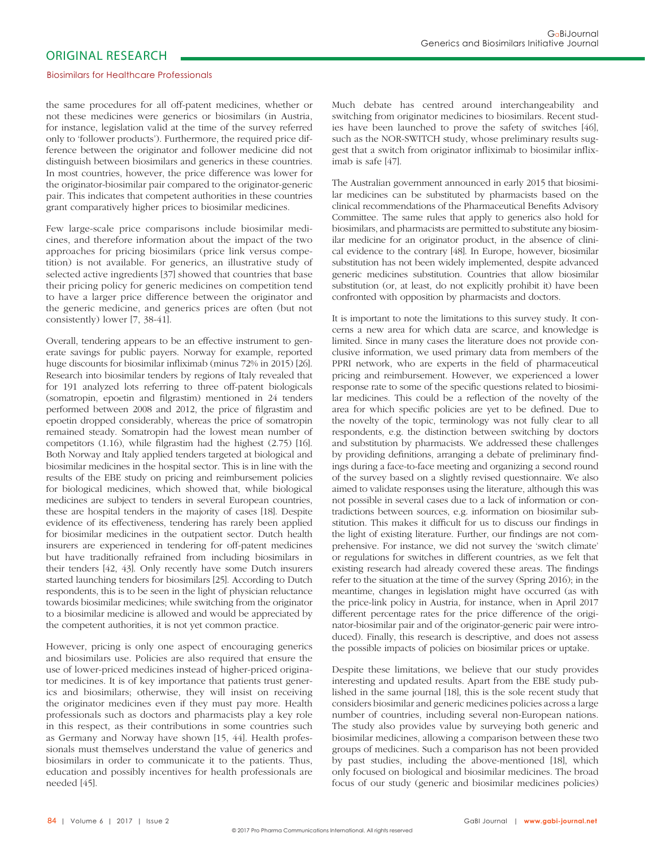#### Biosimilars for Healthcare Professionals

the same procedures for all off-patent medicines, whether or not these medicines were generics or biosimilars (in Austria, for instance, legislation valid at the time of the survey referred only to 'follower products'). Furthermore, the required price difference between the originator and follower medicine did not distinguish between biosimilars and generics in these countries. In most countries, however, the price difference was lower for the originator-biosimilar pair compared to the originator-generic pair. This indicates that competent authorities in these countries grant comparatively higher prices to biosimilar medicines.

Few large-scale price comparisons include biosimilar medicines, and therefore information about the impact of the two approaches for pricing biosimilars (price link versus competition) is not available. For generics, an illustrative study of selected active ingredients [37] showed that countries that base their pricing policy for generic medicines on competition tend to have a larger price difference between the originator and the generic medicine, and generics prices are often (but not consistently) lower [7, 38-41].

Overall, tendering appears to be an effective instrument to generate savings for public payers. Norway for example, reported huge discounts for biosimilar infliximab (minus 72% in 2015) [26]. Research into biosimilar tenders by regions of Italy revealed that for 191 analyzed lots referring to three off-patent biologicals (somatropin, epoetin and filgrastim) mentioned in 24 tenders performed between 2008 and 2012, the price of filgrastim and epoetin dropped considerably, whereas the price of somatropin remained steady. Somatropin had the lowest mean number of competitors  $(1.16)$ , while filgrastim had the highest  $(2.75)$  [16]. Both Norway and Italy applied tenders targeted at biological and biosimilar medicines in the hospital sector. This is in line with the results of the EBE study on pricing and reimbursement policies for biological medicines, which showed that, while biological medicines are subject to tenders in several European countries, these are hospital tenders in the majority of cases [18]. Despite evidence of its effectiveness, tendering has rarely been applied for biosimilar medicines in the outpatient sector. Dutch health insurers are experienced in tendering for off-patent medicines but have traditionally refrained from including biosimilars in their tenders [42, 43]. Only recently have some Dutch insurers started launching tenders for biosimilars [25]. According to Dutch respondents, this is to be seen in the light of physician reluctance towards biosimilar medicines; while switching from the originator to a biosimilar medicine is allowed and would be appreciated by the competent authorities, it is not yet common practice.

However, pricing is only one aspect of encouraging generics and biosimilars use. Policies are also required that ensure the use of lower-priced medicines instead of higher-priced originator medicines. It is of key importance that patients trust generics and biosimilars; otherwise, they will insist on receiving the originator medicines even if they must pay more. Health professionals such as doctors and pharmacists play a key role in this respect, as their contributions in some countries such as Germany and Norway have shown [15, 44]. Health professionals must themselves understand the value of generics and biosimilars in order to communicate it to the patients. Thus, education and possibly incentives for health professionals are needed [45].

Much debate has centred around interchangeability and switching from originator medicines to biosimilars. Recent studies have been launched to prove the safety of switches [46], such as the NOR-SWITCH study, whose preliminary results suggest that a switch from originator infliximab to biosimilar infliximab is safe [47].

The Australian government announced in early 2015 that biosimilar medicines can be substituted by pharmacists based on the clinical recommendations of the Pharmaceutical Benefits Advisory Committee. The same rules that apply to generics also hold for biosimilars, and pharmacists are permitted to substitute any biosimilar medicine for an originator product, in the absence of clinical evidence to the contrary [48]. In Europe, however, biosimilar substitution has not been widely implemented, despite advanced generic medicines substitution. Countries that allow biosimilar substitution (or, at least, do not explicitly prohibit it) have been confronted with opposition by pharmacists and doctors.

It is important to note the limitations to this survey study. It concerns a new area for which data are scarce, and knowledge is limited. Since in many cases the literature does not provide conclusive information, we used primary data from members of the PPRI network, who are experts in the field of pharmaceutical pricing and reimbursement. However, we experienced a lower response rate to some of the specific questions related to biosimilar medicines. This could be a reflection of the novelty of the area for which specific policies are yet to be defined. Due to the novelty of the topic, terminology was not fully clear to all respondents, e.g. the distinction between switching by doctors and substitution by pharmacists. We addressed these challenges by providing definitions, arranging a debate of preliminary findings during a face-to-face meeting and organizing a second round of the survey based on a slightly revised questionnaire. We also aimed to validate responses using the literature, although this was not possible in several cases due to a lack of information or contradictions between sources, e.g. information on biosimilar substitution. This makes it difficult for us to discuss our findings in the light of existing literature. Further, our findings are not comprehensive. For instance, we did not survey the 'switch climate' or regulations for switches in different countries, as we felt that existing research had already covered these areas. The findings refer to the situation at the time of the survey (Spring 2016); in the meantime, changes in legislation might have occurred (as with the price-link policy in Austria, for instance, when in April 2017 different percentage rates for the price difference of the originator-biosimilar pair and of the originator-generic pair were introduced). Finally, this research is descriptive, and does not assess the possible impacts of policies on biosimilar prices or uptake.

Despite these limitations, we believe that our study provides interesting and updated results. Apart from the EBE study published in the same journal [18], this is the sole recent study that considers biosimilar and generic medicines policies across a large number of countries, including several non-European nations. The study also provides value by surveying both generic and biosimilar medicines, allowing a comparison between these two groups of medicines. Such a comparison has not been provided by past studies, including the above-mentioned [18], which only focused on biological and biosimilar medicines. The broad focus of our study (generic and biosimilar medicines policies)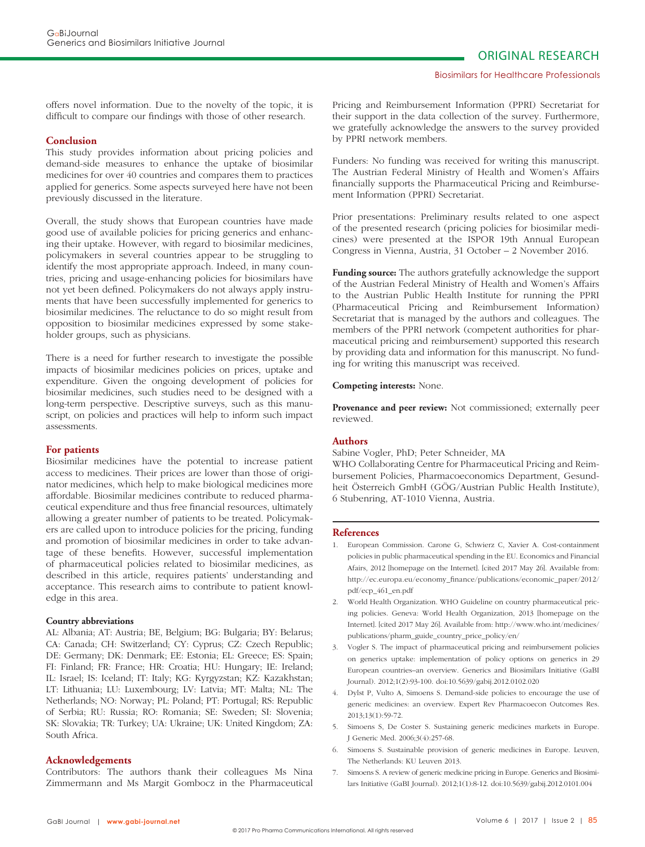offers novel information. Due to the novelty of the topic, it is difficult to compare our findings with those of other research.

#### **Conclusion**

This study provides information about pricing policies and demand-side measures to enhance the uptake of biosimilar medicines for over 40 countries and compares them to practices applied for generics. Some aspects surveyed here have not been previously discussed in the literature.

Overall, the study shows that European countries have made good use of available policies for pricing generics and enhancing their uptake. However, with regard to biosimilar medicines, policymakers in several countries appear to be struggling to identify the most appropriate approach. Indeed, in many countries, pricing and usage-enhancing policies for biosimilars have not yet been defined. Policymakers do not always apply instruments that have been successfully implemented for generics to biosimilar medicines. The reluctance to do so might result from opposition to biosimilar medicines expressed by some stakeholder groups, such as physicians.

There is a need for further research to investigate the possible impacts of biosimilar medicines policies on prices, uptake and expenditure. Given the ongoing development of policies for biosimilar medicines, such studies need to be designed with a long-term perspective. Descriptive surveys, such as this manuscript, on policies and practices will help to inform such impact assessments.

# **For patients**

Biosimilar medicines have the potential to increase patient access to medicines. Their prices are lower than those of originator medicines, which help to make biological medicines more affordable. Biosimilar medicines contribute to reduced pharmaceutical expenditure and thus free financial resources, ultimately allowing a greater number of patients to be treated. Policymakers are called upon to introduce policies for the pricing, funding and promotion of biosimilar medicines in order to take advantage of these benefits. However, successful implementation of pharmaceutical policies related to biosimilar medicines, as described in this article, requires patients' understanding and acceptance. This research aims to contribute to patient knowledge in this area.

#### **Country abbreviations**

AL: Albania; AT: Austria; BE, Belgium; BG: Bulgaria; BY: Belarus; CA: Canada; CH: Switzerland; CY: Cyprus; CZ: Czech Republic; DE: Germany; DK: Denmark; EE: Estonia; EL: Greece; ES: Spain; FI: Finland; FR: France; HR: Croatia; HU: Hungary; IE: Ireland; IL: Israel; IS: Iceland; IT: Italy; KG: Kyrgyzstan; KZ: Kazakhstan; LT: Lithuania; LU: Luxembourg; LV: Latvia; MT: Malta; NL: The Netherlands; NO: Norway; PL: Poland; PT: Portugal; RS: Republic of Serbia; RU: Russia; RO: Romania; SE: Sweden; SI: Slovenia; SK: Slovakia; TR: Turkey; UA: Ukraine; UK: United Kingdom; ZA: South Africa.

#### **Acknowledgements**

Contributors: The authors thank their colleagues Ms Nina Zimmermann and Ms Margit Gombocz in the Pharmaceutical Pricing and Reimbursement Information (PPRI) Secretariat for their support in the data collection of the survey. Furthermore, we gratefully acknowledge the answers to the survey provided by PPRI network members.

Funders: No funding was received for writing this manuscript. The Austrian Federal Ministry of Health and Women's Affairs financially supports the Pharmaceutical Pricing and Reimbursement Information (PPRI) Secretariat.

Prior presentations: Preliminary results related to one aspect of the presented research (pricing policies for biosimilar medicines) were presented at the ISPOR 19th Annual European Congress in Vienna, Austria, 31 October – 2 November 2016.

**Funding source:** The authors gratefully acknowledge the support of the Austrian Federal Ministry of Health and Women's Affairs to the Austrian Public Health Institute for running the PPRI (Pharma ceutical Pricing and Reimbursement Information) Secretariat that is managed by the authors and colleagues. The members of the PPRI network (competent authorities for pharmaceutical pricing and reimbursement) supported this research by providing data and information for this manuscript. No funding for writing this manuscript was received.

#### **Competing interests:** None.

**Provenance and peer review:** Not commissioned; externally peer reviewed.

## **Authors**

Sabine Vogler, PhD; Peter Schneider, MA

WHO Collaborating Centre for Pharmaceutical Pricing and Reimbursement Policies, Pharmacoeconomics Department, Gesundheit Österreich GmbH (GÖG/Austrian Public Health Institute), 6 Stubenring, AT-1010 Vienna, Austria.

#### **References**

- 1. European Commission. Carone G, Schwierz C, Xavier A. Cost-containment policies in public pharmaceutical spending in the EU. Economics and Financial Afairs, 2012 [homepage on the Internet]. [cited 2017 May 26]. Available from: http://ec.europa.eu/economy\_finance/publications/economic\_paper/2012/ pdf/ecp\_461\_en.pdf
- 2. World Health Organization. WHO Guideline on country pharmaceutical pricing policies. Geneva: World Health Organization, 2013 [homepage on the Internet]. [cited 2017 May 26]. Available from: http://www.who.int/medicines/ publications/pharm\_guide\_country\_price\_policy/en/
- 3. Vogler S. The impact of pharmaceutical pricing and reimbursement policies on generics uptake: implementation of policy options on generics in 29 European countries–an overview. Generics and Biosimilars Initiative (GaBI Journal). 2012;1(2):93-100. doi:10.5639/gabij.2012.0102.020
- 4. Dylst P, Vulto A, Simoens S. Demand-side policies to encourage the use of generic medicines: an overview. Expert Rev Pharmacoecon Outcomes Res. 2013;13(1):59-72.
- 5. Simoens S, De Coster S. Sustaining generic medicines markets in Europe. J Generic Med. 2006;3(4):257-68.
- 6. Simoens S. Sustainable provision of generic medicines in Europe. Leuven, The Netherlands: KU Leuven 2013.
- 7. Simoens S. A review of generic medicine pricing in Europe. Generics and Biosimilars Initiative (GaBI Journal). 2012;1(1):8-12. doi:10.5639/gabij.2012.0101.004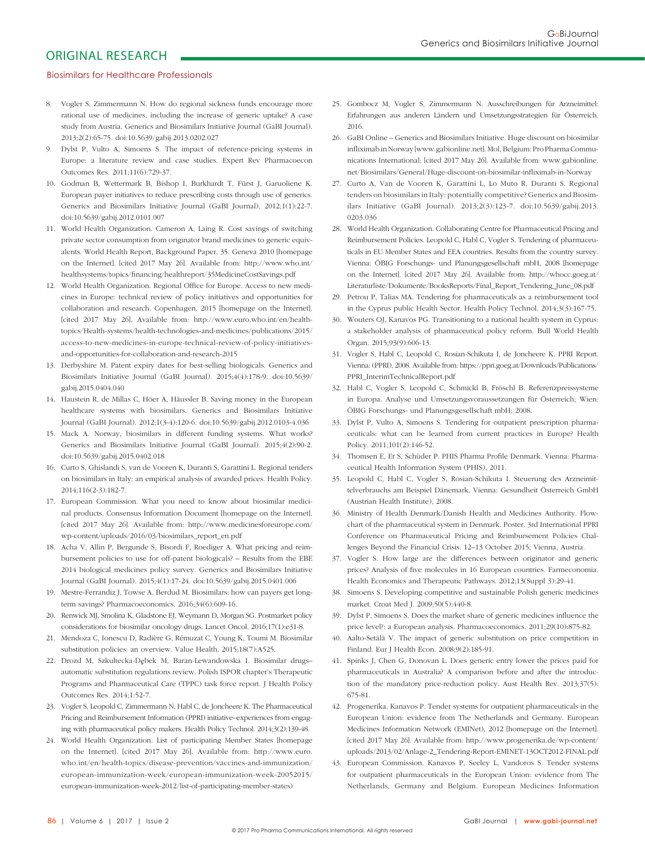#### Biosimilars for Healthcare Professionals

- 8. Vogler S, Zimmermann N. How do regional sickness funds encourage more rational use of medicines, including the increase of generic uptake? A case study from Austria. Generics and Biosimilars Initiative Journal (GaBI Journal). 2013;2(2):65-75. doi:10.5639/gabij.2013.0202.027
- 9. Dylst P, Vulto A, Simoens S. The impact of reference-pricing systems in Europe: a literature review and case studies. Expert Rev Pharmacoecon Outcomes Res. 2011;11(6):729-37.
- 10. Godman B, Wettermark B, Bishop I, Burkhardt T, Fürst J, Garuoliene K. European payer initiatives to reduce prescribing costs through use of generics. Generics and Biosimilars Initiative Journal (GaBI Journal). 2012;1(1):22-7. doi:10.5639/gabij.2012.0101.007
- 11. World Health Organization. Cameron A, Laing R. Cost savings of switching private sector consumption from originator brand medicines to generic equivalents. World Health Report, Background Paper, 35. Geneva 2010 [homepage on the Internet]. [cited 2017 May 26]. Available from: http://www.who.int/ healthsystems/topics/financing/healthreport/35MedicineCostSavings.pdf
- 12. World Health Organization. Regional Office for Europe. Access to new medicines in Europe: technical review of policy initiatives and opportunities for collaboration and research. Copenhagen, 2015 [homepage on the Internet]. [cited 2017 May 26]. Available from: http://www.euro.who.int/en/healthtopics/Health-systems/health-technologies-and-medicines/publications/2015/ access-to-new-medicines-in-europe-technical-review-of-policy-initiativesand-opportunities-for-collaboration-and-research-2015
- 13. Derbyshire M. Patent expiry dates for best-selling biologicals. Generics and Biosimilars Initiative Journal (GaBI Journal). 2015;4(4):178-9. doi:10.5639/ gabij.2015.0404.040
- 14. Haustein R, de Millas C, Höer A, Häussler B. Saving money in the European healthcare systems with biosimilars. Generics and Biosimilars Initiative Journal (GaBI Journal). 2012;1(3-4):120-6. doi:10.5639/gabij.2012.0103-4.036
- 15. Mack A. Norway, biosimilars in different funding systems. What works? Generics and Biosimilars Initiative Journal (GaBI Journal). 2015;4(2):90-2. doi:10.5639/gabij.2015.0402.018
- 16. Curto S, Ghislandi S, van de Vooren K, Duranti S, Garattini L. Regional tenders on biosimilars in Italy: an empirical analysis of awarded prices. Health Policy. 2014;116(2-3):182-7.
- 17. European Commission. What you need to know about biosimilar medicinal products. Consensus Information Document [homepage on the Internet]. [cited 2017 May 26]. Available from: http://www.medicinesforeurope.com/ wp-content/uploads/2016/03/biosimilars\_report\_en.pdf
- 18. Acha V, Allin P, Bergunde S, Bisordi F, Roediger A. What pricing and reimbursement policies to use for off-patent biologicals? – Results from the EBE 2014 biological medicines policy survey. Generics and Biosimilars Initiative Journal (GaBI Journal). 2015;4(1):17-24. doi:10.5639/gabij.2015.0401.006
- 19. Mestre-Ferrandiz J, Towse A, Berdud M. Biosimilars: how can payers get longterm savings? Pharmacoeconomics. 2016;34(6):609-16.
- 20. Renwick MJ, Smolina K, Gladstone EJ, Weymann D, Morgan SG. Postmarket policy considerations for biosimilar oncology drugs. Lancet Oncol. 2016;17(1):e31-8.
- 21. Mendoza C, Ionescu D, Radière G, Rémuzat C, Young K, Toumi M. Biosimilar substitution policies: an overview. Value Health. 2015;18(7):A525.
- 22. Drozd M, Szkultecka-Dębek M, Baran-Lewandowska I. Biosimilar drugsautomatic substitution regulations review. Polish ISPOR chapter's Therapeutic Programs and Pharmaceutical Care (TPPC) task force report. J Health Policy Outcomes Res. 2014;1:52-7.
- 23. Vogler S, Leopold C, Zimmermann N, Habl C, de Joncheere K. The Pharmaceutical Pricing and Reimbursement Information (PPRI) initiative–experiences from engaging with pharmaceutical policy makers. Health Policy Technol. 2014;3(2):139-48.
- 24. World Health Organization. List of participating Member States [homepage on the Internet]. [cited 2017 May 26]. Available from: http://www.euro. who.int/en/health-topics/disease-prevention/vaccines-and-immunization/ european-immunization-week/european-immunization-week-20052015/ european-immunization-week-2012/list-of-participating-member-states)
- 25. Gombocz M, Vogler S, Zimmermann N. Ausschreibungen für Arzneimittel: Erfahrungen aus anderen Ländern und Umsetzungsstrategien für Österreich. 2016.
- 26. GaBI Online Generics and Biosimilars Initiative. Huge discount on biosimilar infliximab in Norway [www.gabionline.net]. Mol, Belgium: Pro Pharma Communications International; [cited 2017 May 26]. Available from: www.gabionline. net/Biosimilars/General/Huge-discount-on-biosimilar-infliximab-in-Norway
- 27. Curto A, Van de Vooren K, Garattini L, Lo Muto R, Duranti S. Regional tenders on biosimilars in Italy: potentially competitive? Generics and Biosimilars Initiative (GaBI Journal). 2013;2(3):123-7. doi:10.5639/gabij.2013. 0203.036
- 28. World Health Organization. Collaborating Centre for Pharmaceutical Pricing and Reimbursement Policies. Leopold C, Habl C, Vogler S. Tendering of pharmaceuticals in EU Member States and EEA countries. Results from the country survey. Vienna: ÖBIG Forschungs- und Planungsgesellschaft mbH, 2008 [homepage on the Internet]. [cited 2017 May 26]. Available from: http://whocc.goeg.at/ Literaturliste/Dokumente/BooksReports/Final\_Report\_Tendering\_June\_08.pdf
- 29. Petrou P, Talias MA. Tendering for pharmaceuticals as a reimbursement tool in the Cyprus public Health Sector. Health Policy Technol. 2014;3(3):167-75.
- 30. Wouters OJ, Kanavos PG. Transitioning to a national health system in Cyprus: a stakeholder analysis of pharmaceutical policy reform. Bull World Health Organ. 2015;93(9):606-13.
- 31. Vogler S, Habl C, Leopold C, Rosian-Schikuta I, de Joncheere K. PPRI Report. Vienna: (PPRI), 2008. Available from: https://ppri.goeg.at/Downloads/Publications/ PPRI\_InterimTechnicalReport.pdf
- 32. Habl C, Vogler S, Leopold C, Schmickl B, Fröschl B. Referenzpreissysteme in Europa. Analyse und Umsetzungsvoraussetzungen für Österreich; Wien: ÖBIG Forschungs- und Planungsgesellschaft mbH; 2008.
- 33. Dylst P, Vulto A, Simoens S. Tendering for outpatient prescription pharmaceuticals: what can be learned from current practices in Europe? Health Policy. 2011;101(2):146-52.
- 34. Thomsen E, Er S, Schüder P, PHIS Pharma Profile Denmark. Vienna: Pharmaceutical Health Information System (PHIS), 2011.
- 35. Leopold C, Habl C, Vogler S, Rosian-Schikuta I. Steuerung des Arzneimittelverbrauchs am Beispiel Dänemark. Vienna: Gesundheit Österreich GmbH (Austrian Health Institute), 2008.
- 36. Ministry of Health Denmark/Danish Health and Medicines Authority. Flowchart of the pharmaceutical system in Denmark. Poster. 3rd International PPRI Conference on Pharmaceutical Pricing and Reimbursement Policies Challenges Beyond the Financial Crisis. 12–13 October 2015; Vienna, Austria.
- 37. Vogler S. How large are the differences between originator and generic prices? Analysis of five molecules in 16 European countries. Farmeconomia. Health Economics and Therapeutic Pathways. 2012;13(Suppl 3):29-41.
- 38. Simoens S. Developing competitive and sustainable Polish generic medicines market. Croat Med J. 2009;50(5):440-8.
- 39. Dylst P, Simoens S. Does the market share of generic medicines influence the price level?: a European analysis. Pharmacoeconomics. 2011;29(10):875-82.
- 40. Aalto-Setälä V. The impact of generic substitution on price competition in Finland. Eur J Health Econ. 2008;9(2):185-91.
- 41. Spinks J, Chen G, Donovan L. Does generic entry lower the prices paid for pharmaceuticals in Australia? A comparison before and after the introduction of the mandatory price-reduction policy. Aust Health Rev. 2013;37(5): 675-81.
- 42. Progenerika. Kanavos P. Tender systems for outpatient pharmaceuticals in the European Union: evidence from The Netherlands and Germany. European Medicines Information Network (EMINet), 2012 [homepage on the Internet]. [cited 2017 May 26]. Available from: http://www.progenerika.de/wp-content/ uploads/2013/02/Anlage-2\_Tendering-Report-EMINET-13OCT2012-FINAL.pdf
- 43. European Commission. Kanavos P, Seeley L, Vandoros S. Tender systems for outpatient pharmaceuticals in the European Union: evidence from The Netherlands, Germany and Belgium. European Medicines Information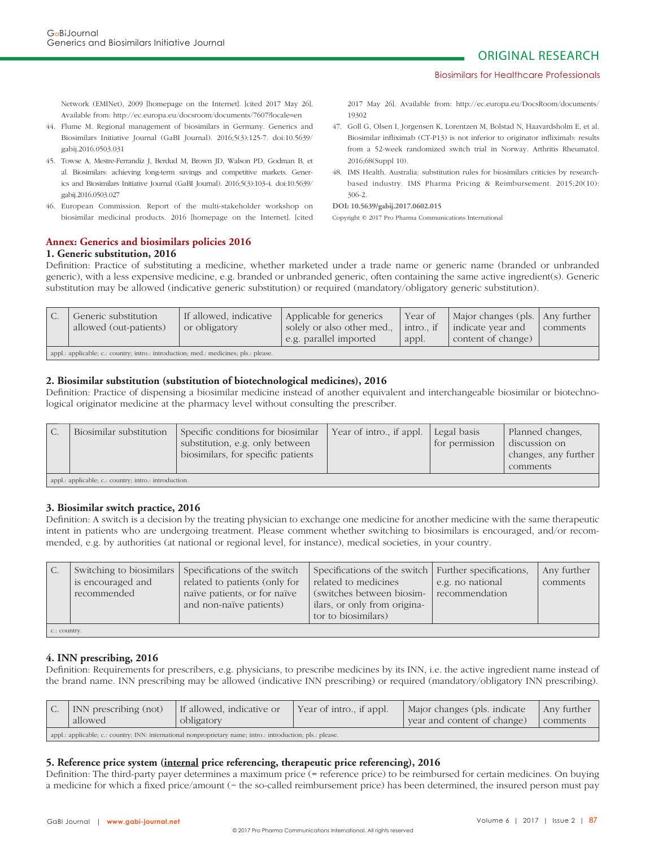#### Biosimilars for Healthcare Professionals

Network (EMINet), 2009 [homepage on the Internet]. [cited 2017 May 26]. Available from: http://ec.europa.eu/docsroom/documents/7607?locale=en

- 44. Flume M. Regional management of biosimilars in Germany. Generics and Biosimilars Initiative Journal (GaBI Journal). 2016;5(3):125-7. doi:10.5639/ gabij.2016.0503.031
- 45. Towse A, Mestre-Ferrandiz J, Berdud M, Brown JD, Walson PD, Godman B, et al. Biosimilars: achieving long-term savings and competitive markets. Generics and Biosimilars Initiative Journal (GaBI Journal). 2016;5(3):103-4. doi:10.5639/ gabij.2016.0503.027
- 46. European Commission. Report of the multi-stakeholder workshop on biosimilar medicinal products. 2016 [homepage on the Internet]. [cited

# **Annex: Generics and biosimilars policies 2016**

## **1. Generic substitution, 2016**

2017 May 26]. Available from: http://ec.europa.eu/DocsRoom/documents/ 19302

- 47. Goll G, Olsen I, Jorgensen K, Lorentzen M, Bolstad N, Haavardsholm E, et al. Biosimilar infliximab (CT-P13) is not inferior to originator infliximab: results from a 52-week randomized switch trial in Norway. Arthritis Rheumatol. 2016;68(Suppl 10).
- 48. IMS Health. Australia: substitution rules for biosimilars criticies by researchbased industry. IMS Pharma Pricing & Reimbursement. 2015;20(10): 306-2.

Copyright © 2017 Pro Pharma Communications International

Definition: Practice of substituting a medicine, whether marketed under a trade name or generic name (branded or unbranded generic), with a less expensive medicine, e.g. branded or unbranded generic, often containing the same active ingredient(s). Generic substitution may be allowed (indicative generic substitution) or required (mandatory/obligatory generic substitution).

| Generic substitution<br>allowed (out-patients)                                       | If allowed, indicative<br>or obligatory | Applicable for generics<br>solely or also other med<br>e.g. parallel imported | Year of<br>intro if<br>appl. | Major changes (pls.   Any further<br>  indicate year and<br>content of change) | comments |
|--------------------------------------------------------------------------------------|-----------------------------------------|-------------------------------------------------------------------------------|------------------------------|--------------------------------------------------------------------------------|----------|
| appl.: applicable; c.: country; intro.: introduction; med.: medicines; pls.: please. |                                         |                                                                               |                              |                                                                                |          |

# **2. Biosimilar substitution (substitution of biotechnological medicines), 2016**

Definition: Practice of dispensing a biosimilar medicine instead of another equivalent and interchangeable biosimilar or biotechnological originator medicine at the pharmacy level without consulting the prescriber.

| C. | Biosimilar substitution                               | Specific conditions for biosimilar<br>substitution, e.g. only between<br>biosimilars, for specific patients | Year of intro., if appl. | Legal basis<br>for permission | Planned changes,<br>discussion on<br>changes, any further<br>comments |  |
|----|-------------------------------------------------------|-------------------------------------------------------------------------------------------------------------|--------------------------|-------------------------------|-----------------------------------------------------------------------|--|
|    | appl.: applicable; c.: country; intro.: introduction. |                                                                                                             |                          |                               |                                                                       |  |

# **3. Biosimilar switch practice, 2016**

Definition: A switch is a decision by the treating physician to exchange one medicine for another medicine with the same therapeutic intent in patients who are undergoing treatment. Please comment whether switching to biosimilars is encouraged, and/or recommended, e.g. by authorities (at national or regional level, for instance), medical societies, in your country.

| is encouraged and<br>recommended | Switching to biosimilars Specifications of the switch<br>related to patients (only for<br>naïve patients, or for naïve<br>and non-naïve patients) | Specifications of the switch   Further specifications,<br>related to medicines<br>switches between biosim-<br>ilars, or only from origina-<br>tor to biosimilars) | e.g. no national<br>recommendation | Any further<br>comments |  |  |
|----------------------------------|---------------------------------------------------------------------------------------------------------------------------------------------------|-------------------------------------------------------------------------------------------------------------------------------------------------------------------|------------------------------------|-------------------------|--|--|
| c.: country.                     |                                                                                                                                                   |                                                                                                                                                                   |                                    |                         |  |  |

# **4. INN prescribing, 2016**

Definition: Requirements for prescribers, e.g. physicians, to prescribe medicines by its INN, i.e. the active ingredient name instead of the brand name. INN prescribing may be allowed (indicative INN prescribing) or required (mandatory/obligatory INN prescribing).

| INN prescribing (not)<br>allowed                                                                            | If allowed, indicative or<br>obligatory | Year of intro., if appl. | Major changes (pls. indicate<br>year and content of change) | Any further<br>comments |
|-------------------------------------------------------------------------------------------------------------|-----------------------------------------|--------------------------|-------------------------------------------------------------|-------------------------|
| appl.: applicable; c.: country; INN: international nonproprietary name; intro.: introduction; pls.: please. |                                         |                          |                                                             |                         |

# **5. Reference price system (internal price referencing, therapeutic price referencing), 2016**

Definition: The third-party payer determines a maximum price (= reference price) to be reimbursed for certain medicines. On buying a medicine for which a fixed price/amount (~ the so-called reimbursement price) has been determined, the insured person must pay

**DOI: 10.5639/gabij.2017.0602.015**